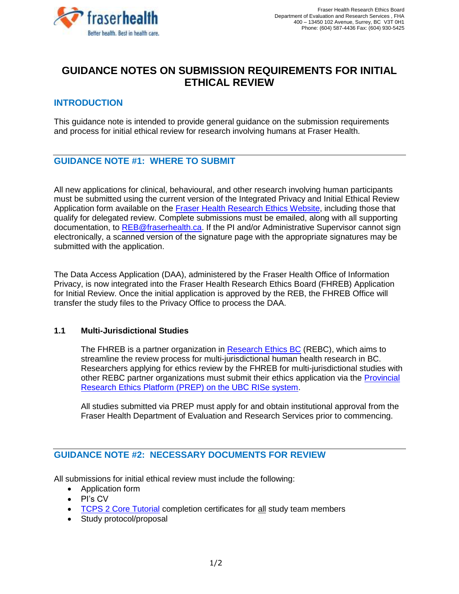

# **GUIDANCE NOTES ON SUBMISSION REQUIREMENTS FOR INITIAL ETHICAL REVIEW**

### **INTRODUCTION**

This guidance note is intended to provide general guidance on the submission requirements and process for initial ethical review for research involving humans at Fraser Health.

## **GUIDANCE NOTE #1: WHERE TO SUBMIT**

All new applications for clinical, behavioural, and other research involving human participants must be submitted using the current version of the Integrated Privacy and Initial Ethical Review Application form available on the [Fraser Health Research Ethics Website,](https://www.fraserhealth.ca/employees/research-and-evaluation/research-ethics-and-other-approvals/research-forms-guidance-notes-and-templates#.W2NaDjpKiUk) including those that qualify for delegated review. Complete submissions must be emailed, along with all supporting documentation, to [REB@fraserhealth.ca.](mailto:REB@fraserhealth.ca) If the PI and/or Administrative Supervisor cannot sign electronically, a scanned version of the signature page with the appropriate signatures may be submitted with the application.

The Data Access Application (DAA), administered by the Fraser Health Office of Information Privacy, is now integrated into the Fraser Health Research Ethics Board (FHREB) Application for Initial Review. Once the initial application is approved by the REB, the FHREB Office will transfer the study files to the Privacy Office to process the DAA.

#### **1.1 Multi-Jurisdictional Studies**

The FHREB is a partner organization in [Research Ethics BC](https://bcahsn.ca/our-network/research-ethics-bc/) (REBC), which aims to streamline the review process for multi-jurisdictional human health research in BC. Researchers applying for ethics review by the FHREB for multi-jurisdictional studies with other REBC partner organizations must submit their ethics application via the [Provincial](https://www.fraserhealth.ca/employees/research-and-evaluation/research-ethics-and-other-approvals/harmonized-research-ethics-process-and-approvals#.XEtxEvlKiUk)  [Research Ethics Platform \(PREP\) on the UBC RISe system.](https://www.fraserhealth.ca/employees/research-and-evaluation/research-ethics-and-other-approvals/harmonized-research-ethics-process-and-approvals#.XEtxEvlKiUk)

All studies submitted via PREP must apply for and obtain institutional approval from the Fraser Health Department of Evaluation and Research Services prior to commencing.

### **GUIDANCE NOTE #2: NECESSARY DOCUMENTS FOR REVIEW**

All submissions for initial ethical review must include the following:

- Application form
- PI's CV
- [TCPS 2 Core Tutorial](https://tcps2core.ca/welcome) completion certificates for all study team members
- Study protocol/proposal